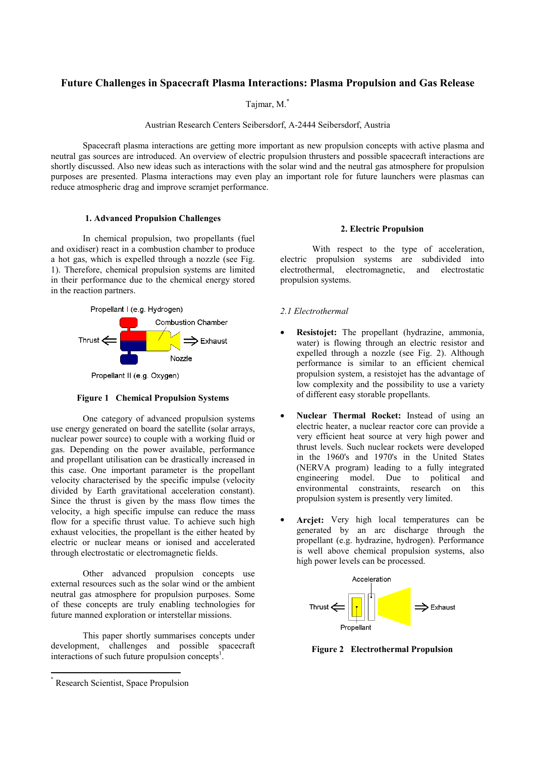# **Future Challenges in Spacecraft Plasma Interactions: Plasma Propulsion and Gas Release**

Tajmar, M.\*

Austrian Research Centers Seibersdorf, A-2444 Seibersdorf, Austria

 Spacecraft plasma interactions are getting more important as new propulsion concepts with active plasma and neutral gas sources are introduced. An overview of electric propulsion thrusters and possible spacecraft interactions are shortly discussed. Also new ideas such as interactions with the solar wind and the neutral gas atmosphere for propulsion purposes are presented. Plasma interactions may even play an important role for future launchers were plasmas can reduce atmospheric drag and improve scramjet performance.

# **1. Advanced Propulsion Challenges**

In chemical propulsion, two propellants (fuel and oxidiser) react in a combustion chamber to produce a hot gas, which is expelled through a nozzle (see Fig. 1). Therefore, chemical propulsion systems are limited in their performance due to the chemical energy stored in the reaction partners.



Propellant II (e.g. Oxygen)

### **Figure 1 Chemical Propulsion Systems**

One category of advanced propulsion systems use energy generated on board the satellite (solar arrays, nuclear power source) to couple with a working fluid or gas. Depending on the power available, performance and propellant utilisation can be drastically increased in this case. One important parameter is the propellant velocity characterised by the specific impulse (velocity divided by Earth gravitational acceleration constant). Since the thrust is given by the mass flow times the velocity, a high specific impulse can reduce the mass flow for a specific thrust value. To achieve such high exhaust velocities, the propellant is the either heated by electric or nuclear means or ionised and accelerated through electrostatic or electromagnetic fields.

Other advanced propulsion concepts use external resources such as the solar wind or the ambient neutral gas atmosphere for propulsion purposes. Some of these concepts are truly enabling technologies for future manned exploration or interstellar missions.

This paper shortly summarises concepts under development, challenges and possible spacecraft interactions of such future propulsion concepts<sup>1</sup>.

#### **2. Electric Propulsion**

With respect to the type of acceleration, electric propulsion systems are subdivided into electrothermal, electromagnetic, and electrostatic propulsion systems.

### *2.1 Electrothermal*

- **Resistojet:** The propellant (hydrazine, ammonia, water) is flowing through an electric resistor and expelled through a nozzle (see Fig. 2). Although performance is similar to an efficient chemical propulsion system, a resistojet has the advantage of low complexity and the possibility to use a variety of different easy storable propellants.
- **Nuclear Thermal Rocket:** Instead of using an electric heater, a nuclear reactor core can provide a very efficient heat source at very high power and thrust levels. Such nuclear rockets were developed in the 1960's and 1970's in the United States (NERVA program) leading to a fully integrated engineering model. Due to political and environmental constraints, research on this propulsion system is presently very limited.
- Arciet: Very high local temperatures can be generated by an arc discharge through the propellant (e.g. hydrazine, hydrogen). Performance is well above chemical propulsion systems, also high power levels can be processed.



**Figure 2 Electrothermal Propulsion** 

Research Scientist, Space Propulsion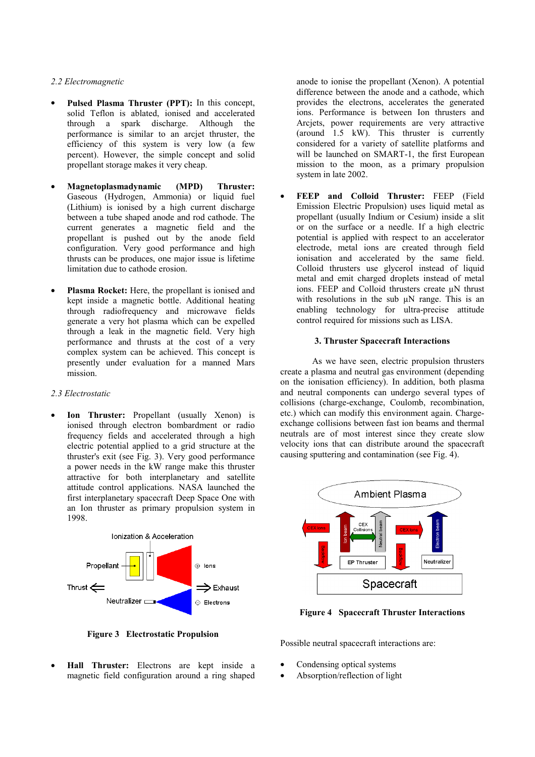## *2.2 Electromagnetic*

- **Pulsed Plasma Thruster (PPT):** In this concept, solid Teflon is ablated, ionised and accelerated through a spark discharge. Although the performance is similar to an arcjet thruster, the efficiency of this system is very low (a few percent). However, the simple concept and solid propellant storage makes it very cheap.
- **Magnetoplasmadynamic (MPD) Thruster:** Gaseous (Hydrogen, Ammonia) or liquid fuel (Lithium) is ionised by a high current discharge between a tube shaped anode and rod cathode. The current generates a magnetic field and the propellant is pushed out by the anode field configuration. Very good performance and high thrusts can be produces, one major issue is lifetime limitation due to cathode erosion.
- **Plasma Rocket:** Here, the propellant is ionised and kept inside a magnetic bottle. Additional heating through radiofrequency and microwave fields generate a very hot plasma which can be expelled through a leak in the magnetic field. Very high performance and thrusts at the cost of a very complex system can be achieved. This concept is presently under evaluation for a manned Mars mission.

### *2.3 Electrostatic*

• **Ion Thruster:** Propellant (usually Xenon) is ionised through electron bombardment or radio frequency fields and accelerated through a high electric potential applied to a grid structure at the thruster's exit (see Fig. 3). Very good performance a power needs in the kW range make this thruster attractive for both interplanetary and satellite attitude control applications. NASA launched the first interplanetary spacecraft Deep Space One with an Ion thruster as primary propulsion system in 1998.



**Figure 3 Electrostatic Propulsion** 

• **Hall Thruster:** Electrons are kept inside a magnetic field configuration around a ring shaped anode to ionise the propellant (Xenon). A potential difference between the anode and a cathode, which provides the electrons, accelerates the generated ions. Performance is between Ion thrusters and Arcjets, power requirements are very attractive (around 1.5 kW). This thruster is currently considered for a variety of satellite platforms and will be launched on SMART-1, the first European mission to the moon, as a primary propulsion system in late 2002.

• **FEEP and Colloid Thruster:** FEEP (Field Emission Electric Propulsion) uses liquid metal as propellant (usually Indium or Cesium) inside a slit or on the surface or a needle. If a high electric potential is applied with respect to an accelerator electrode, metal ions are created through field ionisation and accelerated by the same field. Colloid thrusters use glycerol instead of liquid metal and emit charged droplets instead of metal ions. FEEP and Colloid thrusters create µN thrust with resolutions in the sub  $\mu$ N range. This is an enabling technology for ultra-precise attitude control required for missions such as LISA.

# **3. Thruster Spacecraft Interactions**

As we have seen, electric propulsion thrusters create a plasma and neutral gas environment (depending on the ionisation efficiency). In addition, both plasma and neutral components can undergo several types of collisions (charge-exchange, Coulomb, recombination, etc.) which can modify this environment again. Chargeexchange collisions between fast ion beams and thermal neutrals are of most interest since they create slow velocity ions that can distribute around the spacecraft causing sputtering and contamination (see Fig. 4).



**Figure 4 Spacecraft Thruster Interactions** 

Possible neutral spacecraft interactions are:

- Condensing optical systems
- Absorption/reflection of light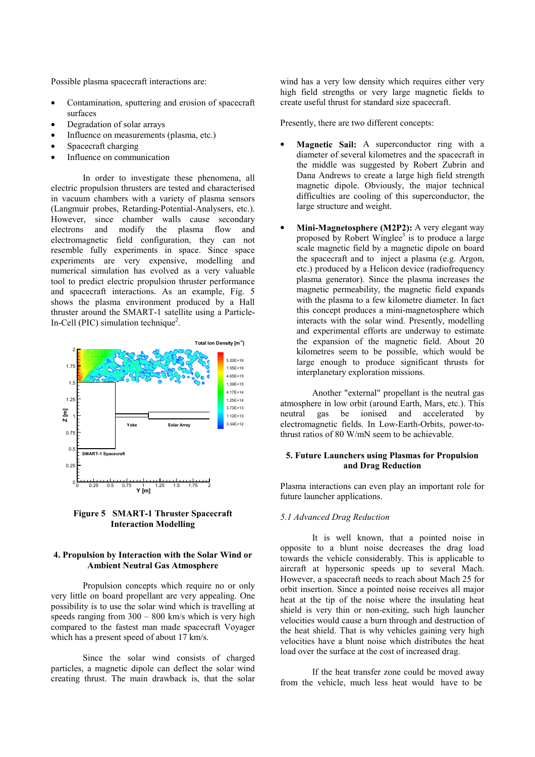Possible plasma spacecraft interactions are:

- Contamination, sputtering and erosion of spacecraft surfaces
- Degradation of solar arrays
- Influence on measurements (plasma, etc.)
- Spacecraft charging
- Influence on communication

In order to investigate these phenomena, all electric propulsion thrusters are tested and characterised in vacuum chambers with a variety of plasma sensors (Langmuir probes, Retarding-Potential-Analysers, etc.). However, since chamber walls cause secondary electrons and modify the plasma flow and electromagnetic field configuration, they can not resemble fully experiments in space. Since space experiments are very expensive, modelling and numerical simulation has evolved as a very valuable tool to predict electric propulsion thruster performance and spacecraft interactions. As an example, Fig. 5 shows the plasma environment produced by a Hall thruster around the SMART-1 satellite using a Particle-In-Cell (PIC) simulation technique<sup>2</sup>.



**Figure 5 SMART-1 Thruster Spacecraft Interaction Modelling**

### **4. Propulsion by Interaction with the Solar Wind or Ambient Neutral Gas Atmosphere**

Propulsion concepts which require no or only very little on board propellant are very appealing. One possibility is to use the solar wind which is travelling at speeds ranging from  $300 - 800$  km/s which is very high compared to the fastest man made spacecraft Voyager which has a present speed of about 17 km/s.

Since the solar wind consists of charged particles, a magnetic dipole can deflect the solar wind creating thrust. The main drawback is, that the solar wind has a very low density which requires either very high field strengths or very large magnetic fields to create useful thrust for standard size spacecraft.

Presently, there are two different concepts:

- **Magnetic Sail:** A superconductor ring with a diameter of several kilometres and the spacecraft in the middle was suggested by Robert Zubrin and Dana Andrews to create a large high field strength magnetic dipole. Obviously, the major technical difficulties are cooling of this superconductor, the large structure and weight.
- **Mini-Magnetosphere (M2P2):** A very elegant way proposed by Robert Winglee<sup>3</sup> is to produce a large scale magnetic field by a magnetic dipole on board the spacecraft and to inject a plasma (e.g. Argon, etc.) produced by a Helicon device (radiofrequency plasma generator). Since the plasma increases the magnetic permeability, the magnetic field expands with the plasma to a few kilometre diameter. In fact this concept produces a mini-magnetosphere which interacts with the solar wind. Presently, modelling and experimental efforts are underway to estimate the expansion of the magnetic field. About 20 kilometres seem to be possible, which would be large enough to produce significant thrusts for interplanetary exploration missions.

Another "external" propellant is the neutral gas atmosphere in low orbit (around Earth, Mars, etc.). This neutral gas be ionised and accelerated by electromagnetic fields. In Low-Earth-Orbits, power-tothrust ratios of 80 W/mN seem to be achievable.

### **5. Future Launchers using Plasmas for Propulsion and Drag Reduction**

Plasma interactions can even play an important role for future launcher applications.

#### *5.1 Advanced Drag Reduction*

It is well known, that a pointed noise in opposite to a blunt noise decreases the drag load towards the vehicle considerably. This is applicable to aircraft at hypersonic speeds up to several Mach. However, a spacecraft needs to reach about Mach 25 for orbit insertion. Since a pointed noise receives all major heat at the tip of the noise where the insulating heat shield is very thin or non-exiting, such high launcher velocities would cause a burn through and destruction of the heat shield. That is why vehicles gaining very high velocities have a blunt noise which distributes the heat load over the surface at the cost of increased drag.

If the heat transfer zone could be moved away from the vehicle, much less heat would have to be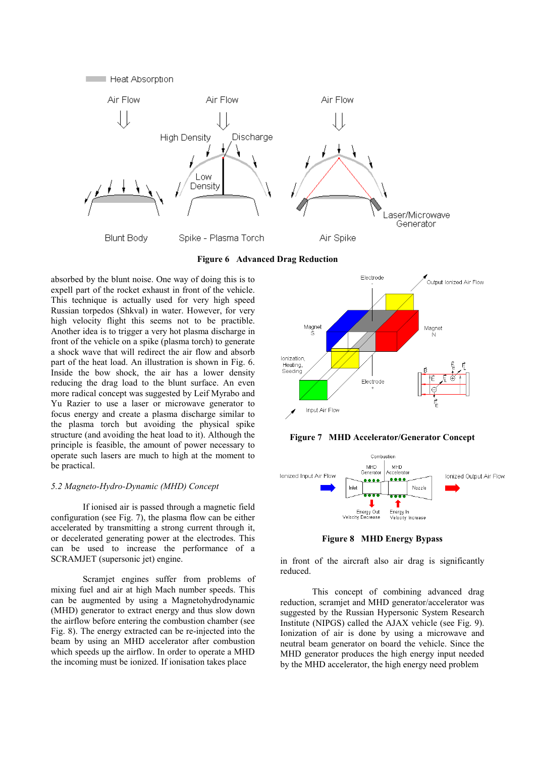

**Figure 6 Advanced Drag Reduction** 

absorbed by the blunt noise. One way of doing this is to expell part of the rocket exhaust in front of the vehicle. This technique is actually used for very high speed Russian torpedos (Shkval) in water. However, for very high velocity flight this seems not to be practible. Another idea is to trigger a very hot plasma discharge in front of the vehicle on a spike (plasma torch) to generate a shock wave that will redirect the air flow and absorb part of the heat load. An illustration is shown in Fig. 6. Inside the bow shock, the air has a lower density reducing the drag load to the blunt surface. An even more radical concept was suggested by Leif Myrabo and Yu Razier to use a laser or microwave generator to focus energy and create a plasma discharge similar to the plasma torch but avoiding the physical spike structure (and avoiding the heat load to it). Although the principle is feasible, the amount of power necessary to operate such lasers are much to high at the moment to be practical.

# *5.2 Magneto-Hydro-Dynamic (MHD) Concept*

If ionised air is passed through a magnetic field configuration (see Fig. 7), the plasma flow can be either accelerated by transmitting a strong current through it, or decelerated generating power at the electrodes. This can be used to increase the performance of a SCRAMJET (supersonic jet) engine.

Scramjet engines suffer from problems of mixing fuel and air at high Mach number speeds. This can be augmented by using a Magnetohydrodynamic (MHD) generator to extract energy and thus slow down the airflow before entering the combustion chamber (see Fig. 8). The energy extracted can be re-injected into the beam by using an MHD accelerator after combustion which speeds up the airflow. In order to operate a MHD the incoming must be ionized. If ionisation takes place







**Figure 8 MHD Energy Bypass** 

in front of the aircraft also air drag is significantly reduced.

This concept of combining advanced drag reduction, scramjet and MHD generator/accelerator was suggested by the Russian Hypersonic System Research Institute (NIPGS) called the AJAX vehicle (see Fig. 9). Ionization of air is done by using a microwave and neutral beam generator on board the vehicle. Since the MHD generator produces the high energy input needed by the MHD accelerator, the high energy need problem